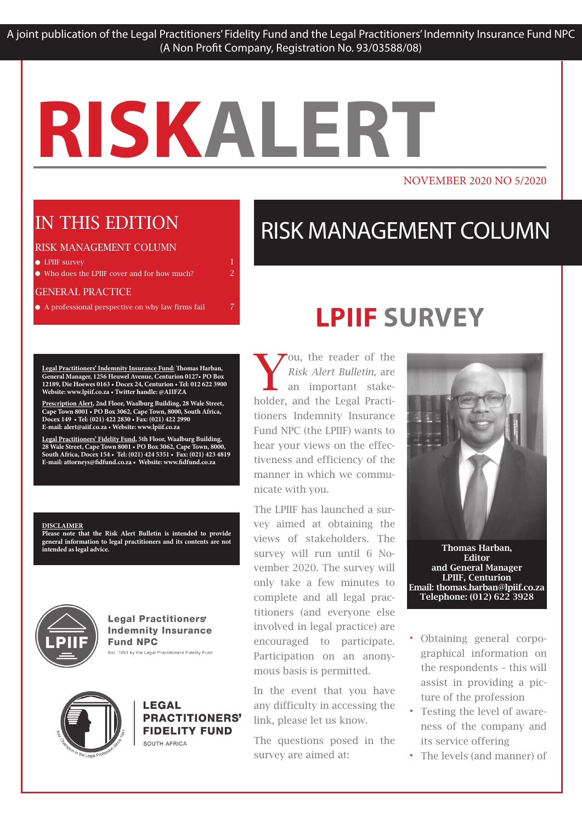#### NOVEMBER 2020 NO 5/2020

### IN THIS EDITION

#### RISK MANAGEMENT COLUMN

 $\bullet$  LPIIF survey 1 and 1 and 1 and 1 and 1 and 1 and 1 and 1 and 1 and 1 and 1 and 1 and 1 and 1 and 1 and 1 and 1 and 1 and 1 and 1 and 1 and 1 and 1 and 1 and 1 and 1 and 1 and 1 and 1 and 1 and 1 and 1 and 1 and 1 and

Who does the LPIIF cover and for how much? 2

#### GENERAL PRACTICE

A professional perspective on why law firms fail 7

**Legal Practitioners' Indemnity Insurance Fund: Thomas Harban, General Manager, 1256 Heuwel Avenue, Centurion 0127• PO Box 12189, Die Hoewes 0163 • Docex 24, Centurion • Tel: 012 622 3900 Website: www.lpiif.co.za • Twitter handle: @AIIFZA**

**Prescription Alert, 2nd Floor, Waalburg Building, 28 Wale Street, Cape Town 8001 • PO Box 3062, Cape Town, 8000, South Africa, Docex 149 • Tel: (021) 422 2830 • Fax: (021) 422 2990 E-mail: alert@aiif.co.za • Website: www.lpiif.co.za**

**Legal Practitioners' Fidelity Fund, 5th Floor, Waalburg Building, 28 Wale Street, Cape Town 8001 • PO Box 3062, Cape Town, 8000, South Africa, Docex 154 • Tel: (021) 424 5351 • Fax: (021) 423 4819 E-mail: attorneys@fidfund.co.za • Website: www.fidfund.co.za**

#### **DISCLAIMER**

**Please note that the Risk Alert Bulletin is intended to provide general information to legal practitioners and its contents are not intended as legal advice.** 



**Legal Practitioners' Indemnity Insurance Fund NPC** Est. 1993 by the Legal Practitioners Fidelity Fund



#### **LEGAL** PRACTITIONERS' **FIDELITY FUND** SOUTH AFRICA

### RISK MANAGEMENT COLUMN

### **LPIIF SURVEY**

ou, the reader of the *Risk Alert Bulletin*, are an important stakeholder, and the Legal Practitioners Indemnity Insurance Fund NPC (the LPIIF) wants to hear your views on the effectiveness and efficiency of the manner in which we communicate with you.

The LPIIF has launched a survey aimed at obtaining the views of stakeholders. The survey will run until 6 November 2020. The survey will only take a few minutes to complete and all legal practitioners (and everyone else involved in legal practice) are encouraged to participate. Participation on an anonymous basis is permitted.

In the event that you have any difficulty in accessing the link, please let us know.

The questions posed in the survey are aimed at:



Thomas Harban, Editor and General Manager LPIIF, Centurion Email: thomas.harban@lpiif.co.za Telephone: (012) 622 3928

- Obtaining general corpographical information on the respondents – this will assist in providing a picture of the profession
- Testing the level of awareness of the company and its service offering
- The levels (and manner) of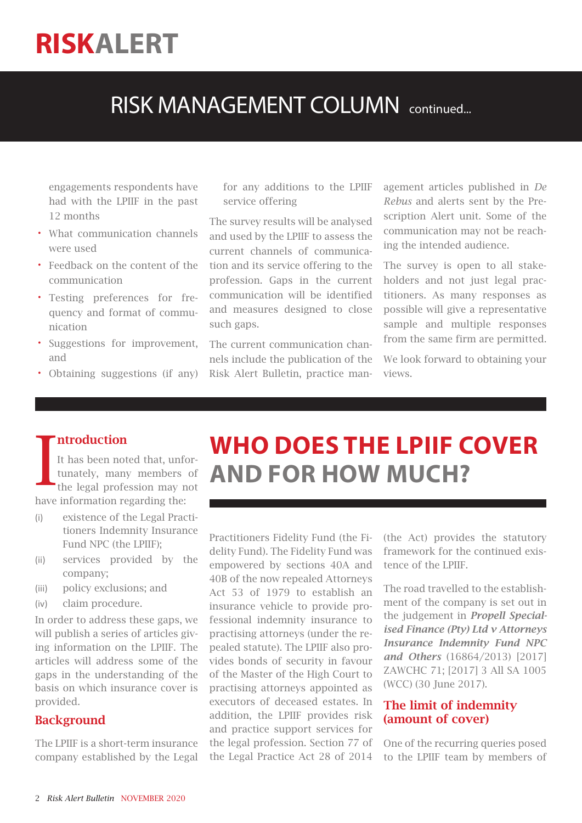### RISK MANAGEMENT COLUMN continued...

engagements respondents have had with the LPIIF in the past 12 months

- What communication channels were used
- Feedback on the content of the communication
- Testing preferences for frequency and format of communication
- Suggestions for improvement, and
- Obtaining suggestions (if any)

for any additions to the LPIIF service offering

The survey results will be analysed and used by the LPIIF to assess the current channels of communication and its service offering to the profession. Gaps in the current communication will be identified and measures designed to close such gaps.

The current communication channels include the publication of the Risk Alert Bulletin, practice management articles published in *De Rebus* and alerts sent by the Prescription Alert unit. Some of the communication may not be reaching the intended audience.

The survey is open to all stakeholders and not just legal practitioners. As many responses as possible will give a representative sample and multiple responses from the same firm are permitted.

We look forward to obtaining your views.

#### ntroduction

It has been noted that, unfortunately, many members of the legal profession may not have information regarding the:

- (i) existence of the Legal Practitioners Indemnity Insurance Fund NPC (the LPIIF);
- (ii) services provided by the company;
- (iii) policy exclusions; and
- (iv) claim procedure.

In order to address these gaps, we will publish a series of articles giving information on the LPIIF. The articles will address some of the gaps in the understanding of the basis on which insurance cover is provided.

#### **Background**

The LPIIF is a short-term insurance company established by the Legal

# **WHO DOES THE LPIIF COVER<br>AND FOR HOW MUCH?**

Practitioners Fidelity Fund (the Fidelity Fund). The Fidelity Fund was empowered by sections 40A and 40B of the now repealed Attorneys Act 53 of 1979 to establish an insurance vehicle to provide professional indemnity insurance to practising attorneys (under the repealed statute). The LPIIF also provides bonds of security in favour of the Master of the High Court to practising attorneys appointed as executors of deceased estates. In addition, the LPIIF provides risk and practice support services for the legal profession. Section 77 of the Legal Practice Act 28 of 2014

(the Act) provides the statutory framework for the continued existence of the LPIIF.

The road travelled to the establishment of the company is set out in the judgement in *Propell Specialised Finance (Pty) Ltd v Attorneys Insurance Indemnity Fund NPC and Others* (16864/2013) [2017] ZAWCHC 71; [2017] 3 All SA 1005 (WCC) (30 June 2017).

#### The limit of indemnity (amount of cover)

One of the recurring queries posed to the LPIIF team by members of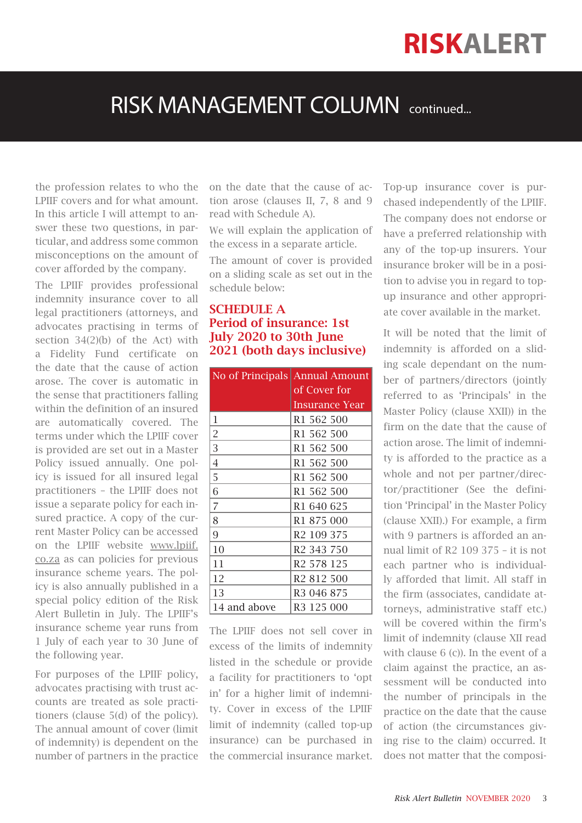### RISK MANAGEMENT COLUMN continued...

the profession relates to who the LPIIF covers and for what amount. In this article I will attempt to answer these two questions, in particular, and address some common misconceptions on the amount of cover afforded by the company.

The LPIIF provides professional indemnity insurance cover to all legal practitioners (attorneys, and advocates practising in terms of section 34(2)(b) of the Act) with a Fidelity Fund certificate on the date that the cause of action arose. The cover is automatic in the sense that practitioners falling within the definition of an insured are automatically covered. The terms under which the LPIIF cover is provided are set out in a Master Policy issued annually. One policy is issued for all insured legal practitioners – the LPIIF does not issue a separate policy for each insured practice. A copy of the current Master Policy can be accessed on the LPIIF website www.lpiif. co.za as can policies for previous insurance scheme years. The policy is also annually published in a special policy edition of the Risk Alert Bulletin in July. The LPIIF's insurance scheme year runs from 1 July of each year to 30 June of the following year.

For purposes of the LPIIF policy, advocates practising with trust accounts are treated as sole practitioners (clause 5(d) of the policy). The annual amount of cover (limit of indemnity) is dependent on the number of partners in the practice

on the date that the cause of action arose (clauses II, 7, 8 and 9 read with Schedule A).

We will explain the application of the excess in a separate article.

The amount of cover is provided on a sliding scale as set out in the schedule below:

#### SCHEDULE A Period of insurance: 1st July 2020 to 30th June 2021 (both days inclusive)

|                | No of Principals Annual Amount |
|----------------|--------------------------------|
|                | of Cover for                   |
|                | Insurance Year                 |
| 1              | R <sub>1</sub> 562 500         |
| $\overline{2}$ | R <sub>1</sub> 562 500         |
| 3              | R1 562 500                     |
| 4              | R <sub>1</sub> 562 500         |
| 5              | R <sub>1</sub> 562 500         |
| 6              | R <sub>1</sub> 562 500         |
| 7              | R <sub>1</sub> 640 625         |
| 8              | R <sub>1</sub> 875 000         |
| 9              | R <sub>2</sub> 109 375         |
| 10             | R <sub>2</sub> 343 750         |
| 11             | R <sub>2</sub> 578 125         |
| 12             | R <sub>2</sub> 812 500         |
| 13             | R <sub>3</sub> 046 875         |
| 14 and above   | R <sub>3</sub> 125 000         |

The LPIIF does not sell cover in excess of the limits of indemnity listed in the schedule or provide a facility for practitioners to 'opt in' for a higher limit of indemnity. Cover in excess of the LPIIF limit of indemnity (called top-up insurance) can be purchased in the commercial insurance market. Top-up insurance cover is purchased independently of the LPIIF. The company does not endorse or have a preferred relationship with any of the top-up insurers. Your insurance broker will be in a position to advise you in regard to topup insurance and other appropriate cover available in the market.

It will be noted that the limit of indemnity is afforded on a sliding scale dependant on the number of partners/directors (jointly referred to as 'Principals' in the Master Policy (clause XXII)) in the firm on the date that the cause of action arose. The limit of indemnity is afforded to the practice as a whole and not per partner/director/practitioner (See the definition 'Principal' in the Master Policy (clause XXII).) For example, a firm with 9 partners is afforded an annual limit of R2 109 375 – it is not each partner who is individually afforded that limit. All staff in the firm (associates, candidate attorneys, administrative staff etc.) will be covered within the firm's limit of indemnity (clause XII read with clause 6 (c)). In the event of a claim against the practice, an assessment will be conducted into the number of principals in the practice on the date that the cause of action (the circumstances giving rise to the claim) occurred. It does not matter that the composi-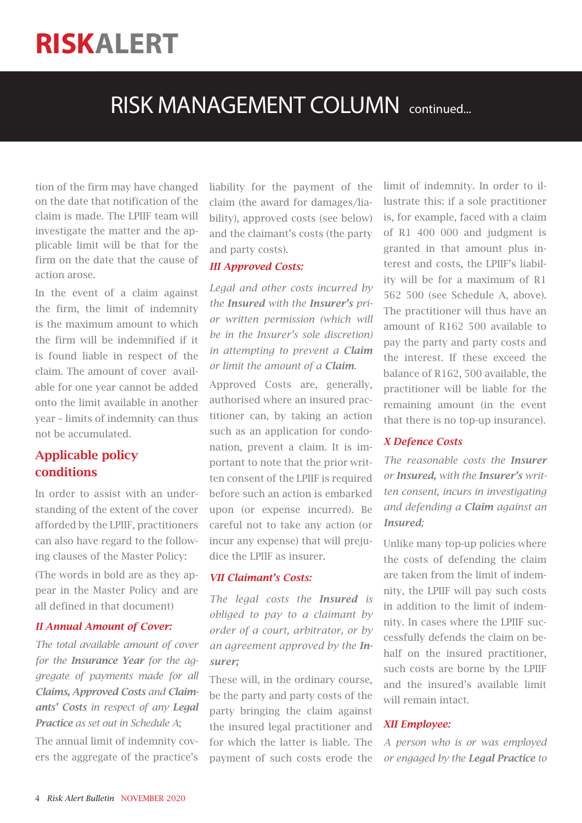### RISK MANAGEMENT COLUMN continued...

tion of the firm may have changed on the date that notification of the claim is made. The LPIIF team will investigate the matter and the applicable limit will be that for the firm on the date that the cause of action arose.

In the event of a claim against the firm, the limit of indemnity is the maximum amount to which the firm will be indemnified if it is found liable in respect of the claim. The amount of cover available for one year cannot be added onto the limit available in another year – limits of indemnity can thus not be accumulated.

#### Applicable policy conditions

In order to assist with an understanding of the extent of the cover afforded by the LPIIF, practitioners can also have regard to the following clauses of the Master Policy:

(The words in bold are as they appear in the Master Policy and are all defined in that document)

#### *II Annual Amount of Cover:*

*The total available amount of cover for the Insurance Year for the aggregate of payments made for all Claims, Approved Costs and Claimants' Costs in respect of any Legal Practice as set out in Schedule A*;

The annual limit of indemnity covers the aggregate of the practice's liability for the payment of the claim (the award for damages/liability), approved costs (see below) and the claimant's costs (the party and party costs).

#### *III Approved Costs:*

*Legal and other costs incurred by the Insured with the Insurer's prior written permission (which will be in the Insurer's sole discretion) in attempting to prevent a Claim or limit the amount of a Claim.*

Approved Costs are, generally, authorised where an insured practitioner can, by taking an action such as an application for condonation, prevent a claim. It is important to note that the prior written consent of the LPIIF is required before such an action is embarked upon (or expense incurred). Be careful not to take any action (or incur any expense) that will prejudice the LPIIF as insurer.

#### *VII Claimant's Costs:*

*The legal costs the Insured is obliged to pay to a claimant by order of a court, arbitrator, or by an agreement approved by the Insurer;*

These will, in the ordinary course, be the party and party costs of the party bringing the claim against the insured legal practitioner and for which the latter is liable. The payment of such costs erode the limit of indemnity. In order to illustrate this: if a sole practitioner is, for example, faced with a claim of R1 400 000 and judgment is granted in that amount plus interest and costs, the LPIIF's liability will be for a maximum of R1 562 500 (see Schedule A, above). The practitioner will thus have an amount of R162 500 available to pay the party and party costs and the interest. If these exceed the balance of R162, 500 available, the practitioner will be liable for the remaining amount (in the event that there is no top-up insurance).

#### *X Defence Costs*

*The reasonable costs the Insurer or Insured, with the Insurer's written consent, incurs in investigating and defending a Claim against an Insured;*

Unlike many top-up policies where the costs of defending the claim are taken from the limit of indemnity, the LPIIF will pay such costs in addition to the limit of indemnity. In cases where the LPIIF successfully defends the claim on behalf on the insured practitioner, such costs are borne by the LPIIF and the insured's available limit will remain intact.

#### *XII Employee:*

*A person who is or was employed or engaged by the Legal Practice to*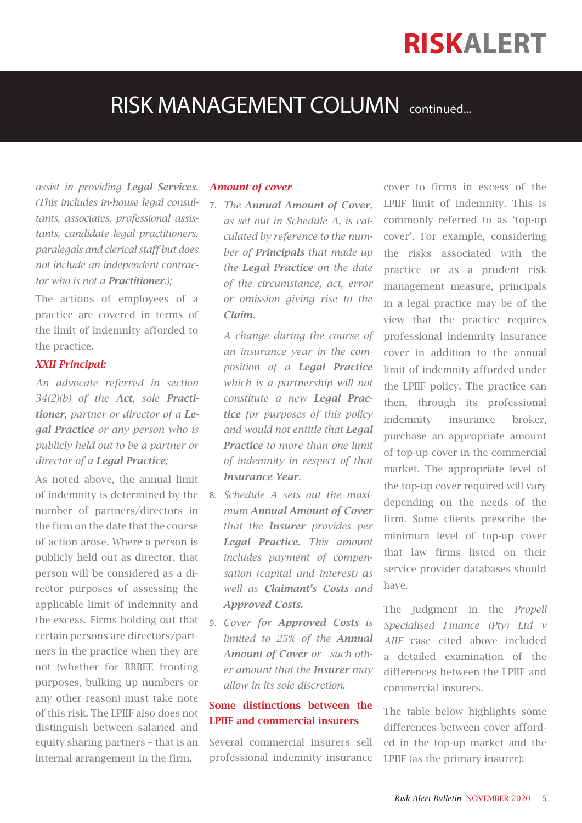### RISK MANAGEMENT COLUMN continued...

*assist in providing Legal Services. (This includes in-house legal consultants, associates, professional assistants, candidate legal practitioners, paralegals and clerical staff but does not include an independent contractor who is not a Practitioner.);*

The actions of employees of a practice are covered in terms of the limit of indemnity afforded to the practice.

#### *XXII Principal:*

*An advocate referred in section 34(2)(b) of the Act, sole Practitioner, partner or director of a Legal Practice or any person who is publicly held out to be a partner or director of a Legal Practice;*

As noted above, the annual limit of indemnity is determined by the number of partners/directors in the firm on the date that the course of action arose. Where a person is publicly held out as director, that person will be considered as a director purposes of assessing the applicable limit of indemnity and the excess. Firms holding out that certain persons are directors/partners in the practice when they are not (whether for BBBEE fronting purposes, bulking up numbers or any other reason) must take note of this risk. The LPIIF also does not distinguish between salaried and equity sharing partners – that is an internal arrangement in the firm.

#### *Amount of cover*

7. *The Annual Amount of Cover, as set out in Schedule A, is calculated by reference to the number of Principals that made up the Legal Practice on the date of the circumstance, act, error or omission giving rise to the Claim.*

*A change during the course of an insurance year in the composition of a Legal Practice which is a partnership will not constitute a new Legal Practice for purposes of this policy and would not entitle that Legal Practice to more than one limit of indemnity in respect of that Insurance Year.* 

- 8. *Schedule A sets out the maximum Annual Amount of Cover that the Insurer provides per Legal Practice. This amount includes payment of compensation (capital and interest) as well as Claimant's Costs and Approved Costs.*
- 9. *Cover for Approved Costs is limited to 25% of the Annual Amount of Cover or such other amount that the Insurer may allow in its sole discretion.*

#### Some distinctions between the LPIIF and commercial insurers

Several commercial insurers sell professional indemnity insurance cover to firms in excess of the LPIIF limit of indemnity. This is commonly referred to as 'top-up cover'. For example, considering the risks associated with the practice or as a prudent risk management measure, principals in a legal practice may be of the view that the practice requires professional indemnity insurance cover in addition to the annual limit of indemnity afforded under the LPIIF policy. The practice can then, through its professional indemnity insurance broker, purchase an appropriate amount of top-up cover in the commercial market. The appropriate level of the top-up cover required will vary depending on the needs of the firm. Some clients prescribe the minimum level of top-up cover that law firms listed on their service provider databases should have.

The judgment in the *Propell Specialised Finance (Pty) Ltd v AIIF* case cited above included a detailed examination of the differences between the LPIIF and commercial insurers.

The table below highlights some differences between cover afforded in the top-up market and the LPIIF (as the primary insurer):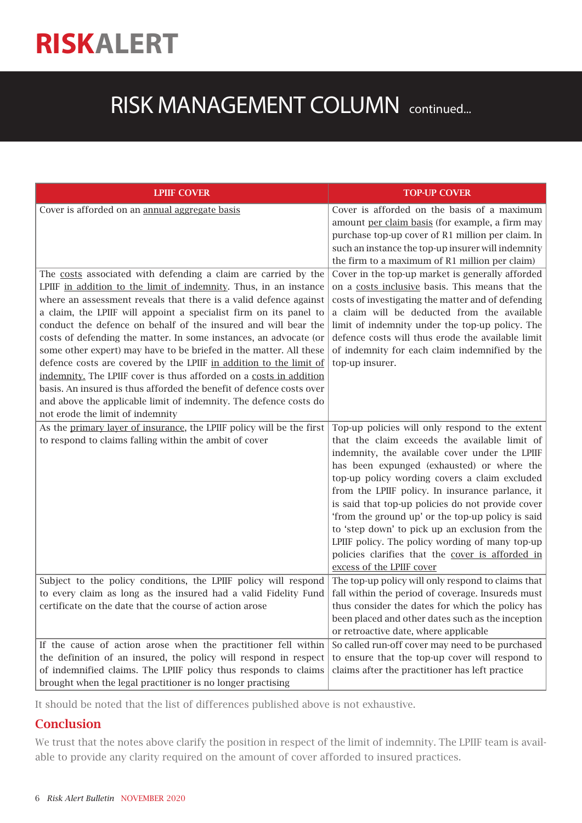### RISK MANAGEMENT COLUMN continued...

| <b>LPIIF COVER</b>                                                                                                                      | <b>TOP-UP COVER</b>                                                                                 |
|-----------------------------------------------------------------------------------------------------------------------------------------|-----------------------------------------------------------------------------------------------------|
| Cover is afforded on an annual aggregate basis                                                                                          | Cover is afforded on the basis of a maximum                                                         |
|                                                                                                                                         | amount per claim basis (for example, a firm may                                                     |
|                                                                                                                                         | purchase top-up cover of R1 million per claim. In                                                   |
|                                                                                                                                         | such an instance the top-up insurer will indemnity                                                  |
|                                                                                                                                         | the firm to a maximum of R1 million per claim)                                                      |
| The costs associated with defending a claim are carried by the                                                                          | Cover in the top-up market is generally afforded                                                    |
| LPIIF in addition to the limit of indemnity. Thus, in an instance                                                                       | on a costs inclusive basis. This means that the                                                     |
| where an assessment reveals that there is a valid defence against                                                                       | costs of investigating the matter and of defending                                                  |
| a claim, the LPIIF will appoint a specialist firm on its panel to                                                                       | a claim will be deducted from the available                                                         |
| conduct the defence on behalf of the insured and will bear the                                                                          | limit of indemnity under the top-up policy. The                                                     |
| costs of defending the matter. In some instances, an advocate (or<br>some other expert) may have to be briefed in the matter. All these | defence costs will thus erode the available limit<br>of indemnity for each claim indemnified by the |
| defence costs are covered by the LPIIF in addition to the limit of                                                                      | top-up insurer.                                                                                     |
| indemnity. The LPIIF cover is thus afforded on a costs in addition                                                                      |                                                                                                     |
| basis. An insured is thus afforded the benefit of defence costs over                                                                    |                                                                                                     |
| and above the applicable limit of indemnity. The defence costs do                                                                       |                                                                                                     |
| not erode the limit of indemnity                                                                                                        |                                                                                                     |
| As the primary layer of insurance, the LPIIF policy will be the first                                                                   | Top-up policies will only respond to the extent                                                     |
| to respond to claims falling within the ambit of cover                                                                                  | that the claim exceeds the available limit of                                                       |
|                                                                                                                                         | indemnity, the available cover under the LPIIF                                                      |
|                                                                                                                                         | has been expunged (exhausted) or where the                                                          |
|                                                                                                                                         | top-up policy wording covers a claim excluded                                                       |
|                                                                                                                                         | from the LPIIF policy. In insurance parlance, it                                                    |
|                                                                                                                                         | is said that top-up policies do not provide cover                                                   |
|                                                                                                                                         | 'from the ground up' or the top-up policy is said                                                   |
|                                                                                                                                         | to 'step down' to pick up an exclusion from the                                                     |
|                                                                                                                                         | LPIIF policy. The policy wording of many top-up                                                     |
|                                                                                                                                         | policies clarifies that the cover is afforded in                                                    |
|                                                                                                                                         | excess of the LPIIF cover                                                                           |
| Subject to the policy conditions, the LPIIF policy will respond                                                                         | The top-up policy will only respond to claims that                                                  |
| to every claim as long as the insured had a valid Fidelity Fund                                                                         | fall within the period of coverage. Insureds must                                                   |
| certificate on the date that the course of action arose                                                                                 | thus consider the dates for which the policy has                                                    |
|                                                                                                                                         | been placed and other dates such as the inception                                                   |
|                                                                                                                                         | or retroactive date, where applicable                                                               |
| If the cause of action arose when the practitioner fell within                                                                          | So called run-off cover may need to be purchased                                                    |
| the definition of an insured, the policy will respond in respect                                                                        | to ensure that the top-up cover will respond to                                                     |
| of indemnified claims. The LPIIF policy thus responds to claims                                                                         | claims after the practitioner has left practice                                                     |
| brought when the legal practitioner is no longer practising                                                                             |                                                                                                     |

It should be noted that the list of differences published above is not exhaustive.

#### **Conclusion**

We trust that the notes above clarify the position in respect of the limit of indemnity. The LPIIF team is available to provide any clarity required on the amount of cover afforded to insured practices.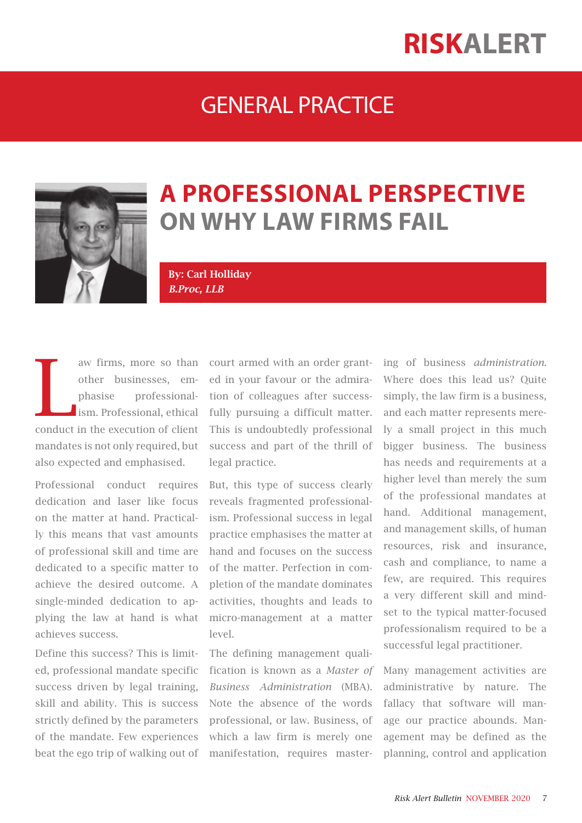### GENERAL PRACTICE



### **A PROFESSIONAL PERSPECTIVE ON WHY LAW FIRMS FAIL**

By: Carl Holliday *B.Proc, LLB*

L<br>Conduct aw firms, more so than other businesses, emphasise professionalism. Professional, ethical conduct in the execution of client mandates is not only required, but also expected and emphasised.

Professional conduct requires dedication and laser like focus on the matter at hand. Practically this means that vast amounts of professional skill and time are dedicated to a specific matter to achieve the desired outcome. A single-minded dedication to applying the law at hand is what achieves success.

Define this success? This is limited, professional mandate specific success driven by legal training, skill and ability. This is success strictly defined by the parameters of the mandate. Few experiences beat the ego trip of walking out of

court armed with an order granted in your favour or the admiration of colleagues after successfully pursuing a difficult matter. This is undoubtedly professional success and part of the thrill of legal practice.

But, this type of success clearly reveals fragmented professionalism. Professional success in legal practice emphasises the matter at hand and focuses on the success of the matter. Perfection in completion of the mandate dominates activities, thoughts and leads to micro-management at a matter  $\log$ 

The defining management qualification is known as a *Master of Business Administration* (MBA). Note the absence of the words professional, or law. Business, of which a law firm is merely one manifestation, requires mastering of business *administration.*  Where does this lead us? Quite simply, the law firm is a business, and each matter represents merely a small project in this much bigger business. The business has needs and requirements at a higher level than merely the sum of the professional mandates at hand. Additional management, and management skills, of human resources, risk and insurance, cash and compliance, to name a few, are required. This requires a very different skill and mindset to the typical matter-focused professionalism required to be a successful legal practitioner.

Many management activities are administrative by nature. The fallacy that software will manage our practice abounds. Management may be defined as the planning, control and application